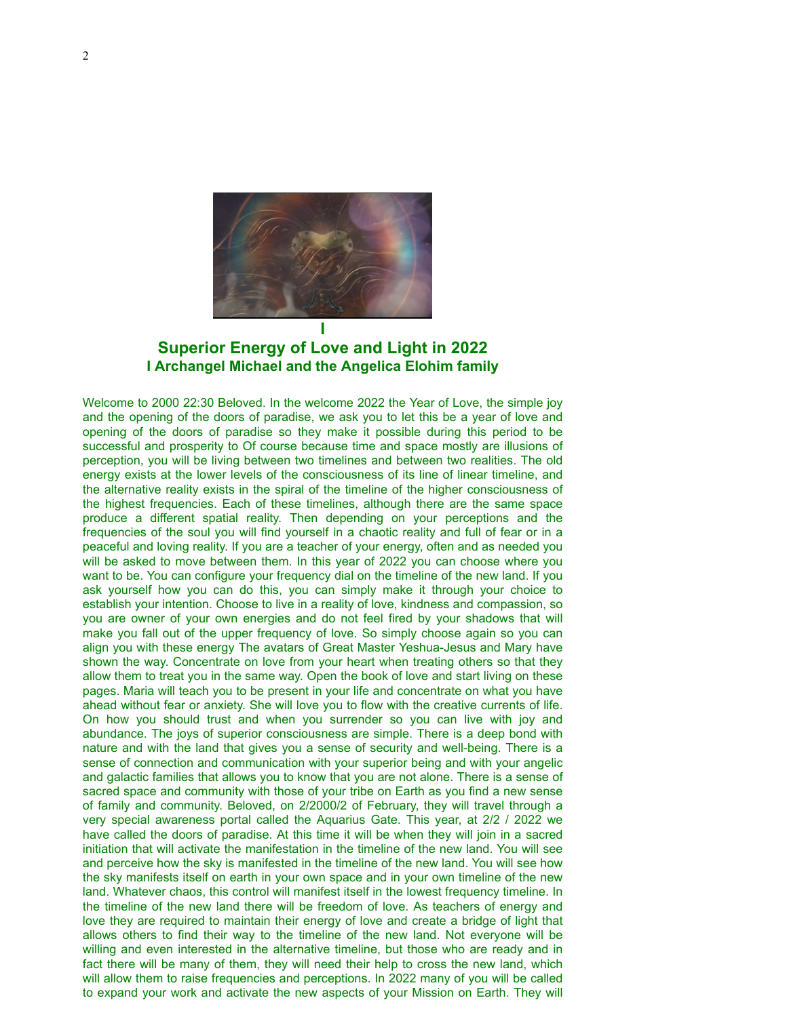

# **Superior Energy of Love and Light in 2022 I Archangel Michael and the Angelica Elohim family**

Welcome to 2000 22:30 Beloved. In the welcome 2022 the Year of Love, the simple joy and the opening of the doors of paradise, we ask you to let this be a year of love and opening of the doors of paradise so they make it possible during this period to be successful and prosperity to Of course because time and space mostly are illusions of perception, you will be living between two timelines and between two realities. The old energy exists at the lower levels of the consciousness of its line of linear timeline, and the alternative reality exists in the spiral of the timeline of the higher consciousness of the highest frequencies. Each of these timelines, although there are the same space produce a different spatial reality. Then depending on your perceptions and the frequencies of the soul you will find yourself in a chaotic reality and full of fear or in a peaceful and loving reality. If you are a teacher of your energy, often and as needed you will be asked to move between them. In this year of 2022 you can choose where you want to be. You can configure your frequency dial on the timeline of the new land. If you ask yourself how you can do this, you can simply make it through your choice to establish your intention. Choose to live in a reality of love, kindness and compassion, so you are owner of your own energies and do not feel fired by your shadows that will make you fall out of the upper frequency of love. So simply choose again so you can align you with these energy The avatars of Great Master Yeshua-Jesus and Mary have shown the way. Concentrate on love from your heart when treating others so that they allow them to treat you in the same way. Open the book of love and start living on these pages. Maria will teach you to be present in your life and concentrate on what you have ahead without fear or anxiety. She will love you to flow with the creative currents of life. On how you should trust and when you surrender so you can live with joy and abundance. The joys of superior consciousness are simple. There is a deep bond with nature and with the land that gives you a sense of security and well-being. There is a sense of connection and communication with your superior being and with your angelic and galactic families that allows you to know that you are not alone. There is a sense of sacred space and community with those of your tribe on Earth as you find a new sense of family and community. Beloved, on 2/2000/2 of February, they will travel through a very special awareness portal called the Aquarius Gate. This year, at 2/2 / 2022 we have called the doors of paradise. At this time it will be when they will join in a sacred initiation that will activate the manifestation in the timeline of the new land. You will see and perceive how the sky is manifested in the timeline of the new land. You will see how the sky manifests itself on earth in your own space and in your own timeline of the new land. Whatever chaos, this control will manifest itself in the lowest frequency timeline. In the timeline of the new land there will be freedom of love. As teachers of energy and love they are required to maintain their energy of love and create a bridge of light that allows others to find their way to the timeline of the new land. Not everyone will be willing and even interested in the alternative timeline, but those who are ready and in fact there will be many of them, they will need their help to cross the new land, which will allow them to raise frequencies and perceptions. In 2022 many of you will be called to expand your work and activate the new aspects of your Mission on Earth. They will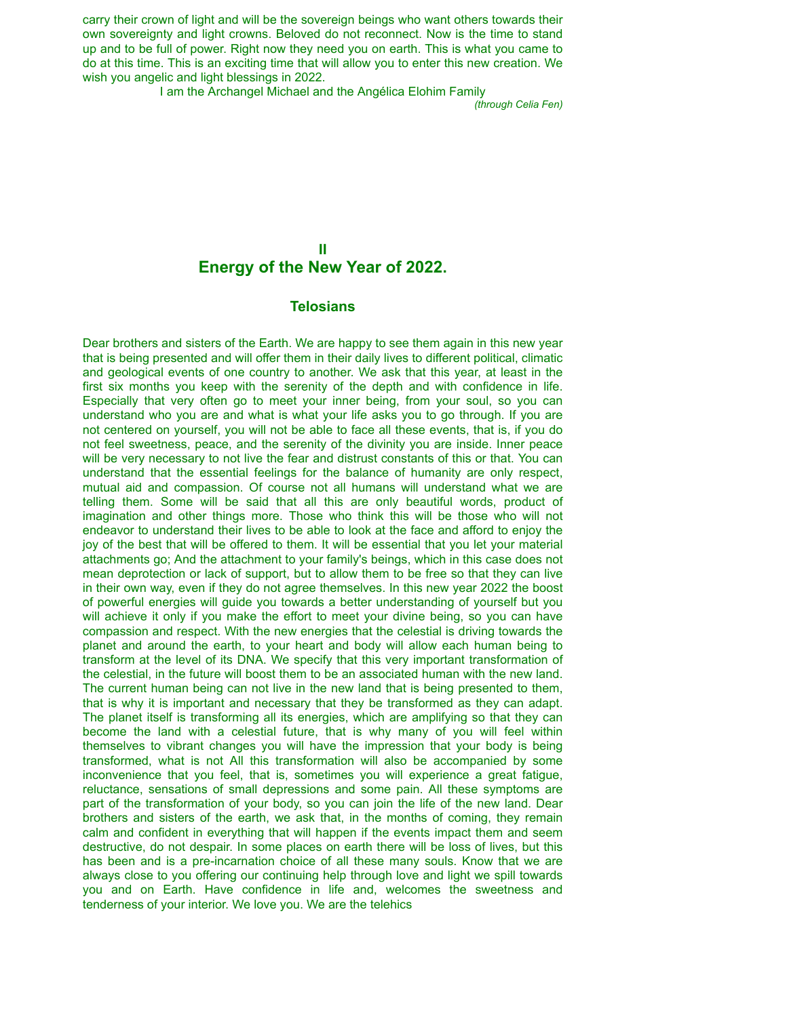carry their crown of light and will be the sovereign beings who want others towards their own sovereignty and light crowns. Beloved do not reconnect. Now is the time to stand up and to be full of power. Right now they need you on earth. This is what you came to do at this time. This is an exciting time that will allow you to enter this new creation. We wish you angelic and light blessings in 2022.

I am the Archangel Michael and the Angélica Elohim Family

*(through Celia Fen)*

## **II Energy of the New Year of 2022.**

#### **Telosians**

Dear brothers and sisters of the Earth. We are happy to see them again in this new year that is being presented and will offer them in their daily lives to different political, climatic and geological events of one country to another. We ask that this year, at least in the first six months you keep with the serenity of the depth and with confidence in life. Especially that very often go to meet your inner being, from your soul, so you can understand who you are and what is what your life asks you to go through. If you are not centered on yourself, you will not be able to face all these events, that is, if you do not feel sweetness, peace, and the serenity of the divinity you are inside. Inner peace will be very necessary to not live the fear and distrust constants of this or that. You can understand that the essential feelings for the balance of humanity are only respect, mutual aid and compassion. Of course not all humans will understand what we are telling them. Some will be said that all this are only beautiful words, product of imagination and other things more. Those who think this will be those who will not endeavor to understand their lives to be able to look at the face and afford to enjoy the joy of the best that will be offered to them. It will be essential that you let your material attachments go; And the attachment to your family's beings, which in this case does not mean deprotection or lack of support, but to allow them to be free so that they can live in their own way, even if they do not agree themselves. In this new year 2022 the boost of powerful energies will guide you towards a better understanding of yourself but you will achieve it only if you make the effort to meet your divine being, so you can have compassion and respect. With the new energies that the celestial is driving towards the planet and around the earth, to your heart and body will allow each human being to transform at the level of its DNA. We specify that this very important transformation of the celestial, in the future will boost them to be an associated human with the new land. The current human being can not live in the new land that is being presented to them, that is why it is important and necessary that they be transformed as they can adapt. The planet itself is transforming all its energies, which are amplifying so that they can become the land with a celestial future, that is why many of you will feel within themselves to vibrant changes you will have the impression that your body is being transformed, what is not All this transformation will also be accompanied by some inconvenience that you feel, that is, sometimes you will experience a great fatigue, reluctance, sensations of small depressions and some pain. All these symptoms are part of the transformation of your body, so you can join the life of the new land. Dear brothers and sisters of the earth, we ask that, in the months of coming, they remain calm and confident in everything that will happen if the events impact them and seem destructive, do not despair. In some places on earth there will be loss of lives, but this has been and is a pre-incarnation choice of all these many souls. Know that we are always close to you offering our continuing help through love and light we spill towards you and on Earth. Have confidence in life and, welcomes the sweetness and tenderness of your interior. We love you. We are the telehics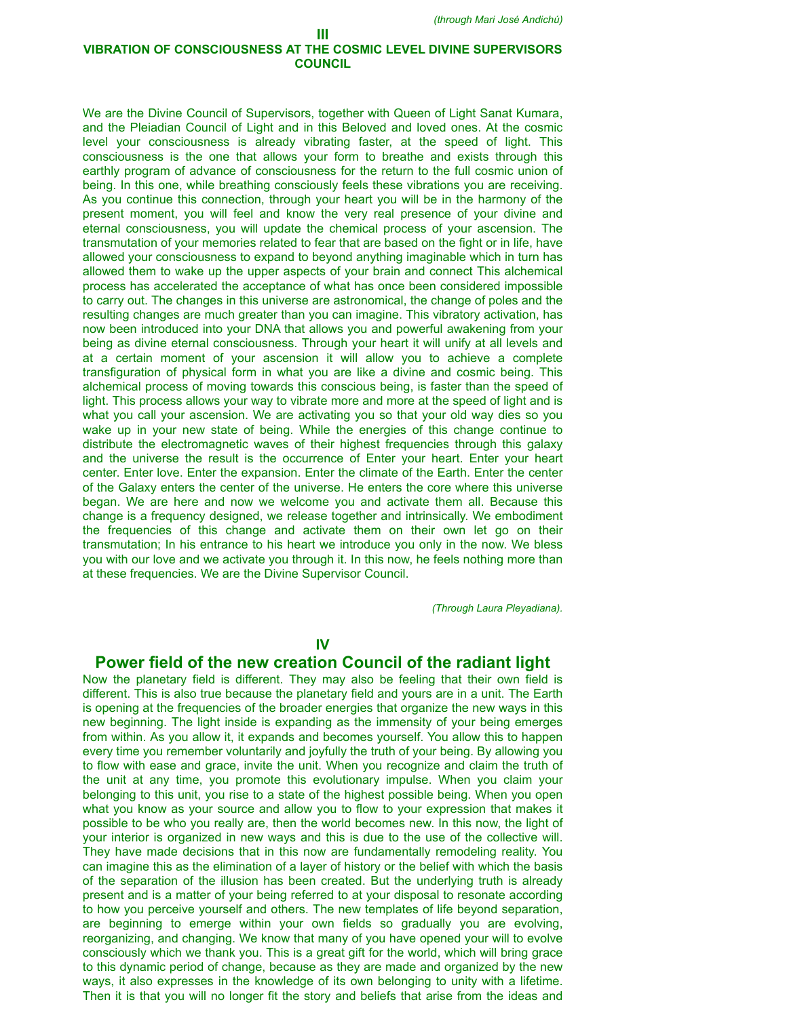### **III VIBRATION OF CONSCIOUSNESS AT THE COSMIC LEVEL DIVINE SUPERVISORS COUNCIL**

We are the Divine Council of Supervisors, together with Queen of Light Sanat Kumara, and the Pleiadian Council of Light and in this Beloved and loved ones. At the cosmic level your consciousness is already vibrating faster, at the speed of light. This consciousness is the one that allows your form to breathe and exists through this earthly program of advance of consciousness for the return to the full cosmic union of being. In this one, while breathing consciously feels these vibrations you are receiving. As you continue this connection, through your heart you will be in the harmony of the present moment, you will feel and know the very real presence of your divine and eternal consciousness, you will update the chemical process of your ascension. The transmutation of your memories related to fear that are based on the fight or in life, have allowed your consciousness to expand to beyond anything imaginable which in turn has allowed them to wake up the upper aspects of your brain and connect This alchemical process has accelerated the acceptance of what has once been considered impossible to carry out. The changes in this universe are astronomical, the change of poles and the resulting changes are much greater than you can imagine. This vibratory activation, has now been introduced into your DNA that allows you and powerful awakening from your being as divine eternal consciousness. Through your heart it will unify at all levels and at a certain moment of your ascension it will allow you to achieve a complete transfiguration of physical form in what you are like a divine and cosmic being. This alchemical process of moving towards this conscious being, is faster than the speed of light. This process allows your way to vibrate more and more at the speed of light and is what you call your ascension. We are activating you so that your old way dies so you wake up in your new state of being. While the energies of this change continue to distribute the electromagnetic waves of their highest frequencies through this galaxy and the universe the result is the occurrence of Enter your heart. Enter your heart center. Enter love. Enter the expansion. Enter the climate of the Earth. Enter the center of the Galaxy enters the center of the universe. He enters the core where this universe began. We are here and now we welcome you and activate them all. Because this change is a frequency designed, we release together and intrinsically. We embodiment the frequencies of this change and activate them on their own let go on their transmutation; In his entrance to his heart we introduce you only in the now. We bless you with our love and we activate you through it. In this now, he feels nothing more than at these frequencies. We are the Divine Supervisor Council.

*(Through Laura Pleyadiana).*

### **IV**

## **Power field of the new creation Council of the radiant light**

Now the planetary field is different. They may also be feeling that their own field is different. This is also true because the planetary field and yours are in a unit. The Earth is opening at the frequencies of the broader energies that organize the new ways in this new beginning. The light inside is expanding as the immensity of your being emerges from within. As you allow it, it expands and becomes yourself. You allow this to happen every time you remember voluntarily and joyfully the truth of your being. By allowing you to flow with ease and grace, invite the unit. When you recognize and claim the truth of the unit at any time, you promote this evolutionary impulse. When you claim your belonging to this unit, you rise to a state of the highest possible being. When you open what you know as your source and allow you to flow to your expression that makes it possible to be who you really are, then the world becomes new. In this now, the light of your interior is organized in new ways and this is due to the use of the collective will. They have made decisions that in this now are fundamentally remodeling reality. You can imagine this as the elimination of a layer of history or the belief with which the basis of the separation of the illusion has been created. But the underlying truth is already present and is a matter of your being referred to at your disposal to resonate according to how you perceive yourself and others. The new templates of life beyond separation, are beginning to emerge within your own fields so gradually you are evolving, reorganizing, and changing. We know that many of you have opened your will to evolve consciously which we thank you. This is a great gift for the world, which will bring grace to this dynamic period of change, because as they are made and organized by the new ways, it also expresses in the knowledge of its own belonging to unity with a lifetime. Then it is that you will no longer fit the story and beliefs that arise from the ideas and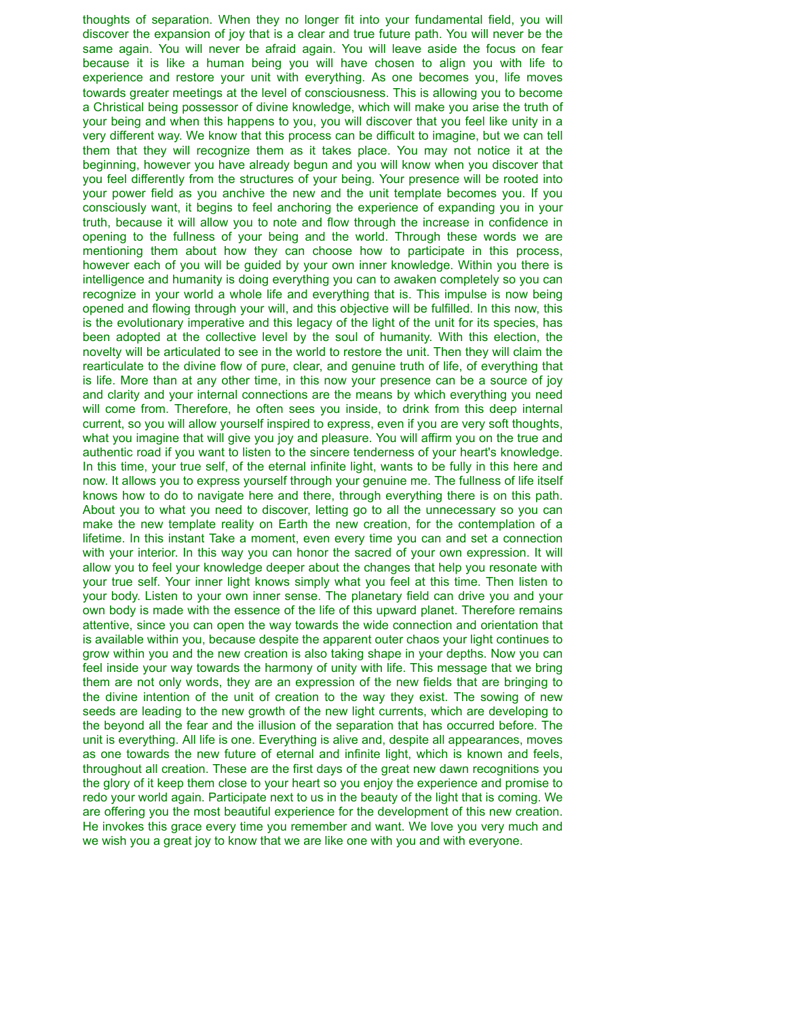thoughts of separation. When they no longer fit into your fundamental field, you will discover the expansion of joy that is a clear and true future path. You will never be the same again. You will never be afraid again. You will leave aside the focus on fear because it is like a human being you will have chosen to align you with life to experience and restore your unit with everything. As one becomes you, life moves towards greater meetings at the level of consciousness. This is allowing you to become a Christical being possessor of divine knowledge, which will make you arise the truth of your being and when this happens to you, you will discover that you feel like unity in a very different way. We know that this process can be difficult to imagine, but we can tell them that they will recognize them as it takes place. You may not notice it at the beginning, however you have already begun and you will know when you discover that you feel differently from the structures of your being. Your presence will be rooted into your power field as you anchive the new and the unit template becomes you. If you consciously want, it begins to feel anchoring the experience of expanding you in your truth, because it will allow you to note and flow through the increase in confidence in opening to the fullness of your being and the world. Through these words we are mentioning them about how they can choose how to participate in this process, however each of you will be guided by your own inner knowledge. Within you there is intelligence and humanity is doing everything you can to awaken completely so you can recognize in your world a whole life and everything that is. This impulse is now being opened and flowing through your will, and this objective will be fulfilled. In this now, this is the evolutionary imperative and this legacy of the light of the unit for its species, has been adopted at the collective level by the soul of humanity. With this election, the novelty will be articulated to see in the world to restore the unit. Then they will claim the rearticulate to the divine flow of pure, clear, and genuine truth of life, of everything that is life. More than at any other time, in this now your presence can be a source of joy and clarity and your internal connections are the means by which everything you need will come from. Therefore, he often sees you inside, to drink from this deep internal current, so you will allow yourself inspired to express, even if you are very soft thoughts, what you imagine that will give you joy and pleasure. You will affirm you on the true and authentic road if you want to listen to the sincere tenderness of your heart's knowledge. In this time, your true self, of the eternal infinite light, wants to be fully in this here and now. It allows you to express yourself through your genuine me. The fullness of life itself knows how to do to navigate here and there, through everything there is on this path. About you to what you need to discover, letting go to all the unnecessary so you can make the new template reality on Earth the new creation, for the contemplation of a lifetime. In this instant Take a moment, even every time you can and set a connection with your interior. In this way you can honor the sacred of your own expression. It will allow you to feel your knowledge deeper about the changes that help you resonate with your true self. Your inner light knows simply what you feel at this time. Then listen to your body. Listen to your own inner sense. The planetary field can drive you and your own body is made with the essence of the life of this upward planet. Therefore remains attentive, since you can open the way towards the wide connection and orientation that is available within you, because despite the apparent outer chaos your light continues to grow within you and the new creation is also taking shape in your depths. Now you can feel inside your way towards the harmony of unity with life. This message that we bring them are not only words, they are an expression of the new fields that are bringing to the divine intention of the unit of creation to the way they exist. The sowing of new seeds are leading to the new growth of the new light currents, which are developing to the beyond all the fear and the illusion of the separation that has occurred before. The unit is everything. All life is one. Everything is alive and, despite all appearances, moves as one towards the new future of eternal and infinite light, which is known and feels, throughout all creation. These are the first days of the great new dawn recognitions you the glory of it keep them close to your heart so you enjoy the experience and promise to redo your world again. Participate next to us in the beauty of the light that is coming. We are offering you the most beautiful experience for the development of this new creation. He invokes this grace every time you remember and want. We love you very much and we wish you a great joy to know that we are like one with you and with everyone.